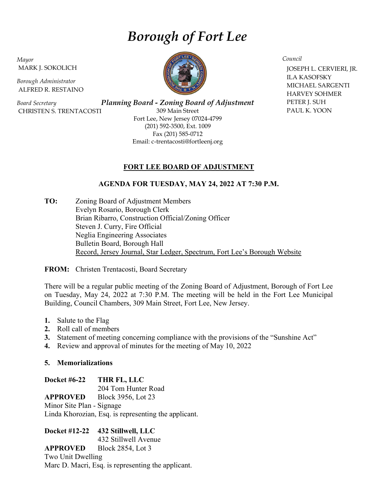# Borough of Fort Lee

Mayor MARK J. SOKOLICH

Borough Administrator ALFRED R. RESTAINO

Board Secretary CHRISTEN S. TRENTACOSTI

Planning Board - Zoning Board of Adjustment 309 Main Street Fort Lee, New Jersey 07024-4799 (201) 592-3500, Ext. 1009 Fax (201) 585-0712 Email: c-trentacosti@fortleenj.org

## FORT LEE BOARD OF ADJUSTMENT

## AGENDA FOR TUESDAY, MAY 24, 2022 AT 7:30 P.M.

TO: Zoning Board of Adjustment Members Evelyn Rosario, Borough Clerk Brian Ribarro, Construction Official/Zoning Officer Steven J. Curry, Fire Official Neglia Engineering Associates Bulletin Board, Borough Hall Record, Jersey Journal, Star Ledger, Spectrum, Fort Lee's Borough Website

FROM: Christen Trentacosti, Board Secretary

There will be a regular public meeting of the Zoning Board of Adjustment, Borough of Fort Lee on Tuesday, May 24, 2022 at 7:30 P.M. The meeting will be held in the Fort Lee Municipal Building, Council Chambers, 309 Main Street, Fort Lee, New Jersey.

- 1. Salute to the Flag
- 2. Roll call of members
- 3. Statement of meeting concerning compliance with the provisions of the "Sunshine Act"
- 4. Review and approval of minutes for the meeting of May 10, 2022

## 5. Memorializations

Docket #6-22 THR FL, LLC 204 Tom Hunter Road APPROVED Block 3956, Lot 23 Minor Site Plan - Signage Linda Khorozian, Esq. is representing the applicant.

Docket #12-22 432 Stillwell, LLC

432 Stillwell Avenue

APPROVED Block 2854, Lot 3 Two Unit Dwelling Marc D. Macri, Esq. is representing the applicant.



Council

 JOSEPH L. CERVIERI, JR. ILA KASOFSKY MICHAEL SARGENTI HARVEY SOHMER PETER J. SUH PAUL K. YOON